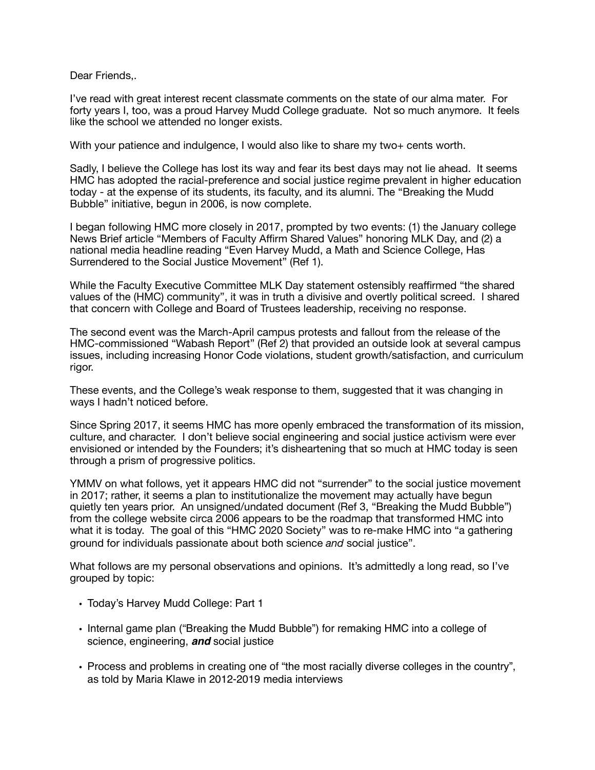Dear Friends,.

I've read with great interest recent classmate comments on the state of our alma mater. For forty years I, too, was a proud Harvey Mudd College graduate. Not so much anymore. It feels like the school we attended no longer exists.

With your patience and indulgence, I would also like to share my two+ cents worth.

Sadly, I believe the College has lost its way and fear its best days may not lie ahead. It seems HMC has adopted the racial-preference and social justice regime prevalent in higher education today - at the expense of its students, its faculty, and its alumni. The "Breaking the Mudd Bubble" initiative, begun in 2006, is now complete.

I began following HMC more closely in 2017, prompted by two events: (1) the January college News Brief article "Members of Faculty Affirm Shared Values" honoring MLK Day, and (2) a national media headline reading "Even Harvey Mudd, a Math and Science College, Has Surrendered to the Social Justice Movement" (Ref 1).

While the Faculty Executive Committee MLK Day statement ostensibly reaffirmed "the shared values of the (HMC) community", it was in truth a divisive and overtly political screed. I shared that concern with College and Board of Trustees leadership, receiving no response.

The second event was the March-April campus protests and fallout from the release of the HMC-commissioned "Wabash Report" (Ref 2) that provided an outside look at several campus issues, including increasing Honor Code violations, student growth/satisfaction, and curriculum rigor.

These events, and the College's weak response to them, suggested that it was changing in ways I hadn't noticed before.

Since Spring 2017, it seems HMC has more openly embraced the transformation of its mission, culture, and character. I don't believe social engineering and social justice activism were ever envisioned or intended by the Founders; it's disheartening that so much at HMC today is seen through a prism of progressive politics.

YMMV on what follows, yet it appears HMC did not "surrender" to the social justice movement in 2017; rather, it seems a plan to institutionalize the movement may actually have begun quietly ten years prior. An unsigned/undated document (Ref 3, "Breaking the Mudd Bubble") from the college website circa 2006 appears to be the roadmap that transformed HMC into what it is today. The goal of this "HMC 2020 Society" was to re-make HMC into "a gathering ground for individuals passionate about both science *and* social justice".

What follows are my personal observations and opinions. It's admittedly a long read, so I've grouped by topic:

- Today's Harvey Mudd College: Part 1
- Internal game plan ("Breaking the Mudd Bubble") for remaking HMC into a college of science, engineering, *and* social justice
- Process and problems in creating one of "the most racially diverse colleges in the country", as told by Maria Klawe in 2012-2019 media interviews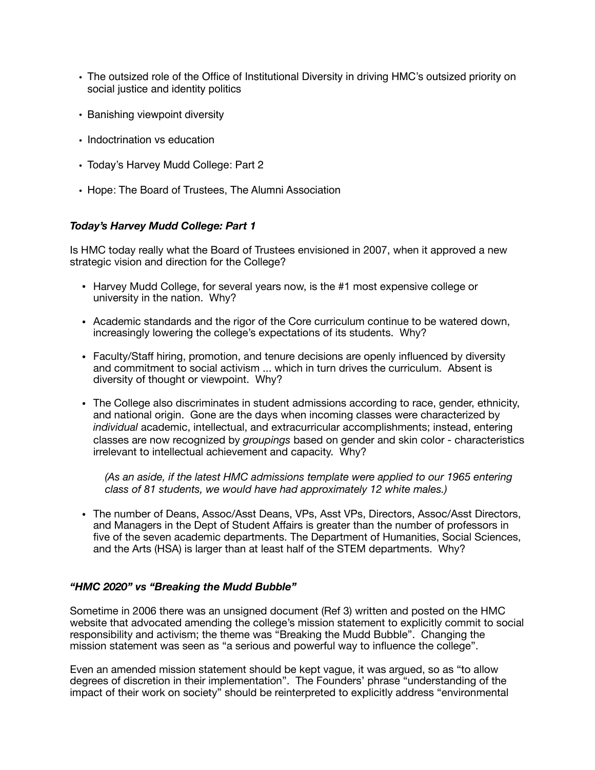- The outsized role of the Office of Institutional Diversity in driving HMC's outsized priority on social justice and identity politics
- Banishing viewpoint diversity
- Indoctrination vs education
- Today's Harvey Mudd College: Part 2
- Hope: The Board of Trustees, The Alumni Association

# *Today's Harvey Mudd College: Part 1*

Is HMC today really what the Board of Trustees envisioned in 2007, when it approved a new strategic vision and direction for the College?

- Harvey Mudd College, for several years now, is the #1 most expensive college or university in the nation. Why?
- Academic standards and the rigor of the Core curriculum continue to be watered down, increasingly lowering the college's expectations of its students. Why?
- Faculty/Staff hiring, promotion, and tenure decisions are openly influenced by diversity and commitment to social activism ... which in turn drives the curriculum. Absent is diversity of thought or viewpoint. Why?
- The College also discriminates in student admissions according to race, gender, ethnicity, and national origin. Gone are the days when incoming classes were characterized by *individual* academic, intellectual, and extracurricular accomplishments; instead, entering classes are now recognized by *groupings* based on gender and skin color - characteristics irrelevant to intellectual achievement and capacity. Why?

*(As an aside, if the latest HMC admissions template were applied to our 1965 entering class of 81 students, we would have had approximately 12 white males.)* 

• The number of Deans, Assoc/Asst Deans, VPs, Asst VPs, Directors, Assoc/Asst Directors, and Managers in the Dept of Student Affairs is greater than the number of professors in five of the seven academic departments. The Department of Humanities, Social Sciences, and the Arts (HSA) is larger than at least half of the STEM departments. Why?

# *"HMC 2020" vs "Breaking the Mudd Bubble"*

Sometime in 2006 there was an unsigned document (Ref 3) written and posted on the HMC website that advocated amending the college's mission statement to explicitly commit to social responsibility and activism; the theme was "Breaking the Mudd Bubble". Changing the mission statement was seen as "a serious and powerful way to influence the college".

Even an amended mission statement should be kept vague, it was argued, so as "to allow degrees of discretion in their implementation". The Founders' phrase "understanding of the impact of their work on society" should be reinterpreted to explicitly address "environmental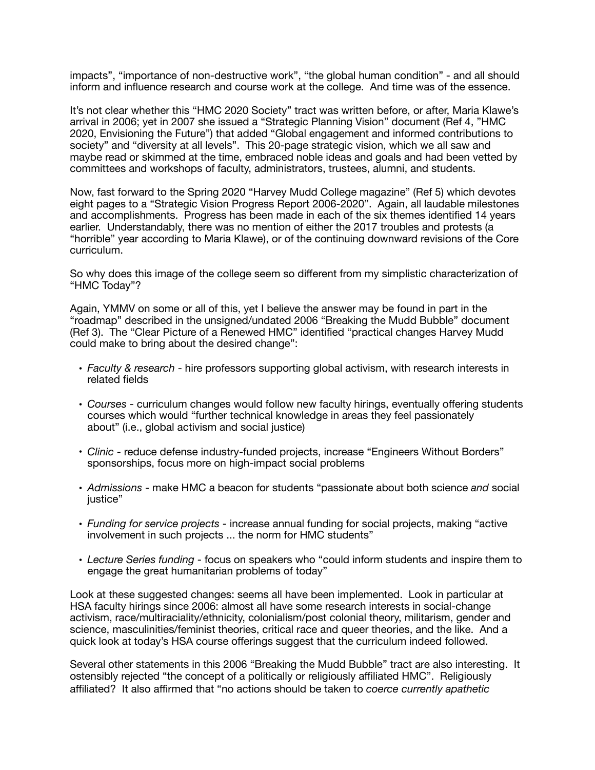impacts", "importance of non-destructive work", "the global human condition" - and all should inform and influence research and course work at the college. And time was of the essence.

It's not clear whether this "HMC 2020 Society" tract was written before, or after, Maria Klawe's arrival in 2006; yet in 2007 she issued a "Strategic Planning Vision" document (Ref 4, "HMC 2020, Envisioning the Future") that added "Global engagement and informed contributions to society" and "diversity at all levels". This 20-page strategic vision, which we all saw and maybe read or skimmed at the time, embraced noble ideas and goals and had been vetted by committees and workshops of faculty, administrators, trustees, alumni, and students.

Now, fast forward to the Spring 2020 "Harvey Mudd College magazine" (Ref 5) which devotes eight pages to a "Strategic Vision Progress Report 2006-2020". Again, all laudable milestones and accomplishments. Progress has been made in each of the six themes identified 14 years earlier. Understandably, there was no mention of either the 2017 troubles and protests (a "horrible" year according to Maria Klawe), or of the continuing downward revisions of the Core curriculum.

So why does this image of the college seem so different from my simplistic characterization of "HMC Today"?

Again, YMMV on some or all of this, yet I believe the answer may be found in part in the "roadmap" described in the unsigned/undated 2006 "Breaking the Mudd Bubble" document (Ref 3). The "Clear Picture of a Renewed HMC" identified "practical changes Harvey Mudd could make to bring about the desired change":

- *Faculty & research* hire professors supporting global activism, with research interests in related fields
- *Courses* curriculum changes would follow new faculty hirings, eventually offering students courses which would "further technical knowledge in areas they feel passionately about" (i.e., global activism and social justice)
- *Clinic* reduce defense industry-funded projects, increase "Engineers Without Borders" sponsorships, focus more on high-impact social problems
- *Admissions* make HMC a beacon for students "passionate about both science *and* social iustice"
- *Funding for service projects* increase annual funding for social projects, making "active involvement in such projects ... the norm for HMC students"
- *Lecture Series funding* focus on speakers who "could inform students and inspire them to engage the great humanitarian problems of today"

Look at these suggested changes: seems all have been implemented. Look in particular at HSA faculty hirings since 2006: almost all have some research interests in social-change activism, race/multiraciality/ethnicity, colonialism/post colonial theory, militarism, gender and science, masculinities/feminist theories, critical race and queer theories, and the like. And a quick look at today's HSA course offerings suggest that the curriculum indeed followed.

Several other statements in this 2006 "Breaking the Mudd Bubble" tract are also interesting. It ostensibly rejected "the concept of a politically or religiously affiliated HMC". Religiously affiliated? It also affirmed that "no actions should be taken to *coerce currently apathetic*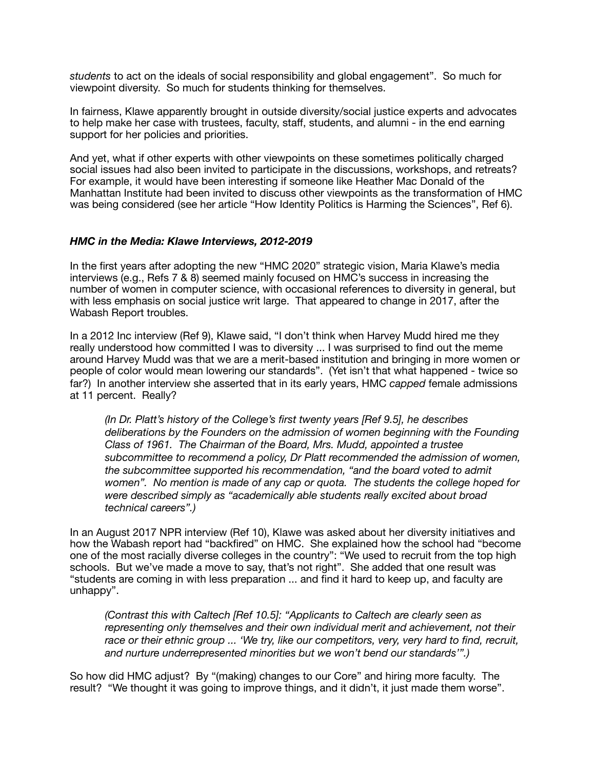*students* to act on the ideals of social responsibility and global engagement". So much for viewpoint diversity. So much for students thinking for themselves.

In fairness, Klawe apparently brought in outside diversity/social justice experts and advocates to help make her case with trustees, faculty, staff, students, and alumni - in the end earning support for her policies and priorities.

And yet, what if other experts with other viewpoints on these sometimes politically charged social issues had also been invited to participate in the discussions, workshops, and retreats? For example, it would have been interesting if someone like Heather Mac Donald of the Manhattan Institute had been invited to discuss other viewpoints as the transformation of HMC was being considered (see her article "How Identity Politics is Harming the Sciences", Ref 6).

#### *HMC in the Media: Klawe Interviews, 2012-2019*

In the first years after adopting the new "HMC 2020" strategic vision, Maria Klawe's media interviews (e.g., Refs 7 & 8) seemed mainly focused on HMC's success in increasing the number of women in computer science, with occasional references to diversity in general, but with less emphasis on social justice writ large. That appeared to change in 2017, after the Wabash Report troubles.

In a 2012 Inc interview (Ref 9), Klawe said, "I don't think when Harvey Mudd hired me they really understood how committed I was to diversity ... I was surprised to find out the meme around Harvey Mudd was that we are a merit-based institution and bringing in more women or people of color would mean lowering our standards". (Yet isn't that what happened - twice so far?) In another interview she asserted that in its early years, HMC *capped* female admissions at 11 percent. Really?

*(In Dr. Platt's history of the College's first twenty years [Ref 9.5], he describes*  deliberations by the Founders on the admission of women beginning with the Founding *Class of 1961. The Chairman of the Board, Mrs. Mudd, appointed a trustee subcommittee to recommend a policy, Dr Platt recommended the admission of women, the subcommittee supported his recommendation, "and the board voted to admit women". No mention is made of any cap or quota. The students the college hoped for were described simply as "academically able students really excited about broad technical careers".)*

In an August 2017 NPR interview (Ref 10), Klawe was asked about her diversity initiatives and how the Wabash report had "backfired" on HMC. She explained how the school had "become one of the most racially diverse colleges in the country": "We used to recruit from the top high schools. But we've made a move to say, that's not right". She added that one result was "students are coming in with less preparation ... and find it hard to keep up, and faculty are unhappy".

*(Contrast this with Caltech [Ref 10.5]: "Applicants to Caltech are clearly seen as representing only themselves and their own individual merit and achievement, not their race or their ethnic group ... 'We try, like our competitors, very, very hard to find, recruit, and nurture underrepresented minorities but we won't bend our standards'".)* 

So how did HMC adjust? By "(making) changes to our Core" and hiring more faculty. The result? "We thought it was going to improve things, and it didn't, it just made them worse".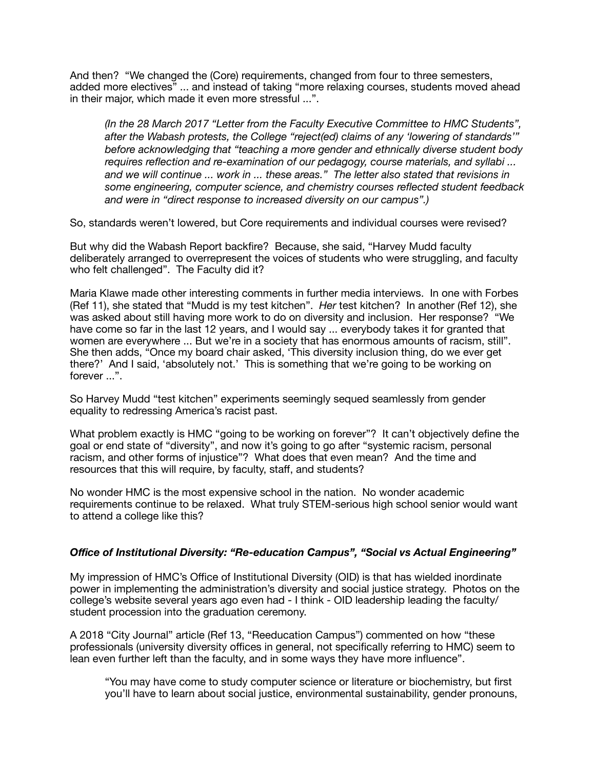And then? "We changed the (Core) requirements, changed from four to three semesters, added more electives" ... and instead of taking "more relaxing courses, students moved ahead in their major, which made it even more stressful ...".

*(In the 28 March 2017 "Letter from the Faculty Executive Committee to HMC Students", after the Wabash protests, the College "reject(ed) claims of any 'lowering of standards'" before acknowledging that "teaching a more gender and ethnically diverse student body requires reflection and re-examination of our pedagogy, course materials, and syllabi ... and we will continue ... work in ... these areas." The letter also stated that revisions in some engineering, computer science, and chemistry courses reflected student feedback and were in "direct response to increased diversity on our campus".)* 

So, standards weren't lowered, but Core requirements and individual courses were revised?

But why did the Wabash Report backfire? Because, she said, "Harvey Mudd faculty deliberately arranged to overrepresent the voices of students who were struggling, and faculty who felt challenged". The Faculty did it?

Maria Klawe made other interesting comments in further media interviews. In one with Forbes (Ref 11), she stated that "Mudd is my test kitchen". *Her* test kitchen? In another (Ref 12), she was asked about still having more work to do on diversity and inclusion. Her response? "We have come so far in the last 12 years, and I would say ... everybody takes it for granted that women are everywhere ... But we're in a society that has enormous amounts of racism, still". She then adds, "Once my board chair asked, 'This diversity inclusion thing, do we ever get there?' And I said, 'absolutely not.' This is something that we're going to be working on forever ...".

So Harvey Mudd "test kitchen" experiments seemingly sequed seamlessly from gender equality to redressing America's racist past.

What problem exactly is HMC "going to be working on forever"? It can't objectively define the goal or end state of "diversity", and now it's going to go after "systemic racism, personal racism, and other forms of injustice"? What does that even mean? And the time and resources that this will require, by faculty, staff, and students?

No wonder HMC is the most expensive school in the nation. No wonder academic requirements continue to be relaxed. What truly STEM-serious high school senior would want to attend a college like this?

# *Office of Institutional Diversity: "Re-education Campus", "Social vs Actual Engineering"*

My impression of HMC's Office of Institutional Diversity (OID) is that has wielded inordinate power in implementing the administration's diversity and social justice strategy. Photos on the college's website several years ago even had - I think - OID leadership leading the faculty/ student procession into the graduation ceremony.

A 2018 "City Journal" article (Ref 13, "Reeducation Campus") commented on how "these professionals (university diversity offices in general, not specifically referring to HMC) seem to lean even further left than the faculty, and in some ways they have more influence".

"You may have come to study computer science or literature or biochemistry, but first you'll have to learn about social justice, environmental sustainability, gender pronouns,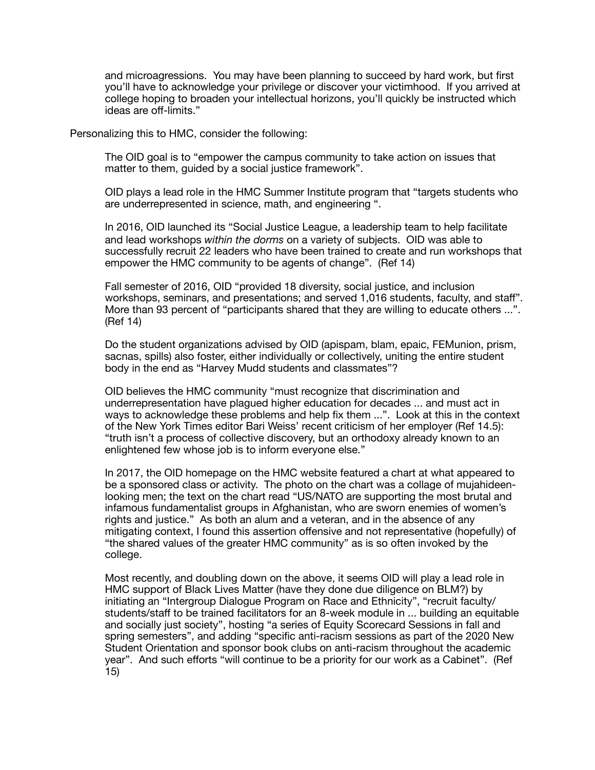and microagressions. You may have been planning to succeed by hard work, but first you'll have to acknowledge your privilege or discover your victimhood. If you arrived at college hoping to broaden your intellectual horizons, you'll quickly be instructed which ideas are off-limits."

Personalizing this to HMC, consider the following:

The OID goal is to "empower the campus community to take action on issues that matter to them, guided by a social justice framework".

OID plays a lead role in the HMC Summer Institute program that "targets students who are underrepresented in science, math, and engineering ".

In 2016, OID launched its "Social Justice League, a leadership team to help facilitate and lead workshops *within the dorms* on a variety of subjects. OID was able to successfully recruit 22 leaders who have been trained to create and run workshops that empower the HMC community to be agents of change". (Ref 14)

Fall semester of 2016, OID "provided 18 diversity, social justice, and inclusion workshops, seminars, and presentations; and served 1,016 students, faculty, and staff". More than 93 percent of "participants shared that they are willing to educate others ...". (Ref 14)

Do the student organizations advised by OID (apispam, blam, epaic, FEMunion, prism, sacnas, spills) also foster, either individually or collectively, uniting the entire student body in the end as "Harvey Mudd students and classmates"?

OID believes the HMC community "must recognize that discrimination and underrepresentation have plagued higher education for decades ... and must act in ways to acknowledge these problems and help fix them ...". Look at this in the context of the New York Times editor Bari Weiss' recent criticism of her employer (Ref 14.5): "truth isn't a process of collective discovery, but an orthodoxy already known to an enlightened few whose job is to inform everyone else."

In 2017, the OID homepage on the HMC website featured a chart at what appeared to be a sponsored class or activity. The photo on the chart was a collage of mujahideenlooking men; the text on the chart read "US/NATO are supporting the most brutal and infamous fundamentalist groups in Afghanistan, who are sworn enemies of women's rights and justice." As both an alum and a veteran, and in the absence of any mitigating context, I found this assertion offensive and not representative (hopefully) of "the shared values of the greater HMC community" as is so often invoked by the college.

Most recently, and doubling down on the above, it seems OID will play a lead role in HMC support of Black Lives Matter (have they done due diligence on BLM?) by initiating an "Intergroup Dialogue Program on Race and Ethnicity", "recruit faculty/ students/staff to be trained facilitators for an 8-week module in ... building an equitable and socially just society", hosting "a series of Equity Scorecard Sessions in fall and spring semesters", and adding "specific anti-racism sessions as part of the 2020 New Student Orientation and sponsor book clubs on anti-racism throughout the academic year". And such efforts "will continue to be a priority for our work as a Cabinet". (Ref 15)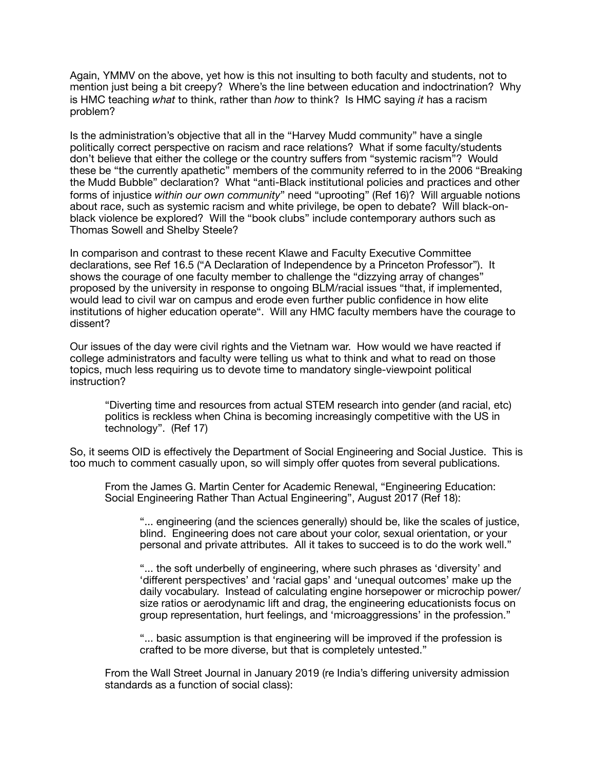Again, YMMV on the above, yet how is this not insulting to both faculty and students, not to mention just being a bit creepy? Where's the line between education and indoctrination? Why is HMC teaching *what* to think, rather than *how* to think? Is HMC saying *it* has a racism problem?

Is the administration's objective that all in the "Harvey Mudd community" have a single politically correct perspective on racism and race relations? What if some faculty/students don't believe that either the college or the country suffers from "systemic racism"? Would these be "the currently apathetic" members of the community referred to in the 2006 "Breaking the Mudd Bubble" declaration? What "anti-Black institutional policies and practices and other forms of injustice *within our own community*" need "uprooting" (Ref 16)? Will arguable notions about race, such as systemic racism and white privilege, be open to debate? Will black-onblack violence be explored? Will the "book clubs" include contemporary authors such as Thomas Sowell and Shelby Steele?

In comparison and contrast to these recent Klawe and Faculty Executive Committee declarations, see Ref 16.5 ("A Declaration of Independence by a Princeton Professor"). It shows the courage of one faculty member to challenge the "dizzying array of changes" proposed by the university in response to ongoing BLM/racial issues "that, if implemented, would lead to civil war on campus and erode even further public confidence in how elite institutions of higher education operate". Will any HMC faculty members have the courage to dissent?

Our issues of the day were civil rights and the Vietnam war. How would we have reacted if college administrators and faculty were telling us what to think and what to read on those topics, much less requiring us to devote time to mandatory single-viewpoint political instruction?

"Diverting time and resources from actual STEM research into gender (and racial, etc) politics is reckless when China is becoming increasingly competitive with the US in technology". (Ref 17)

So, it seems OID is effectively the Department of Social Engineering and Social Justice. This is too much to comment casually upon, so will simply offer quotes from several publications.

From the James G. Martin Center for Academic Renewal, "Engineering Education: Social Engineering Rather Than Actual Engineering", August 2017 (Ref 18):

"... engineering (and the sciences generally) should be, like the scales of justice, blind. Engineering does not care about your color, sexual orientation, or your personal and private attributes. All it takes to succeed is to do the work well."

"... the soft underbelly of engineering, where such phrases as 'diversity' and 'different perspectives' and 'racial gaps' and 'unequal outcomes' make up the daily vocabulary. Instead of calculating engine horsepower or microchip power/ size ratios or aerodynamic lift and drag, the engineering educationists focus on group representation, hurt feelings, and 'microaggressions' in the profession."

"... basic assumption is that engineering will be improved if the profession is crafted to be more diverse, but that is completely untested."

From the Wall Street Journal in January 2019 (re India's differing university admission standards as a function of social class):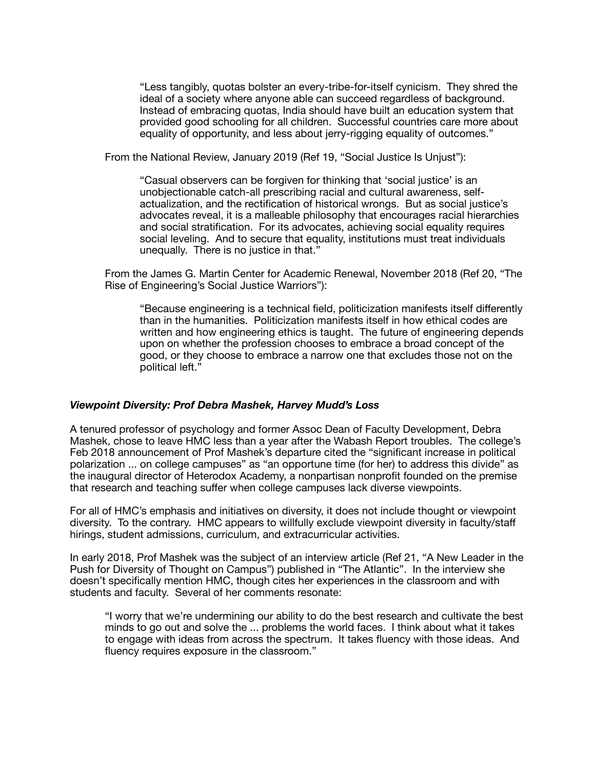"Less tangibly, quotas bolster an every-tribe-for-itself cynicism. They shred the ideal of a society where anyone able can succeed regardless of background. Instead of embracing quotas, India should have built an education system that provided good schooling for all children. Successful countries care more about equality of opportunity, and less about jerry-rigging equality of outcomes."

From the National Review, January 2019 (Ref 19, "Social Justice Is Unjust"):

"Casual observers can be forgiven for thinking that 'social justice' is an unobjectionable catch-all prescribing racial and cultural awareness, selfactualization, and the rectification of historical wrongs. But as social justice's advocates reveal, it is a malleable philosophy that encourages racial hierarchies and social stratification. For its advocates, achieving social equality requires social leveling. And to secure that equality, institutions must treat individuals unequally. There is no justice in that."

From the James G. Martin Center for Academic Renewal, November 2018 (Ref 20, "The Rise of Engineering's Social Justice Warriors"):

"Because engineering is a technical field, politicization manifests itself differently than in the humanities. Politicization manifests itself in how ethical codes are written and how engineering ethics is taught. The future of engineering depends upon on whether the profession chooses to embrace a broad concept of the good, or they choose to embrace a narrow one that excludes those not on the political left."

### *Viewpoint Diversity: Prof Debra Mashek, Harvey Mudd's Loss*

A tenured professor of psychology and former Assoc Dean of Faculty Development, Debra Mashek, chose to leave HMC less than a year after the Wabash Report troubles. The college's Feb 2018 announcement of Prof Mashek's departure cited the "significant increase in political polarization ... on college campuses" as "an opportune time (for her) to address this divide" as the inaugural director of Heterodox Academy, a nonpartisan nonprofit founded on the premise that research and teaching suffer when college campuses lack diverse viewpoints.

For all of HMC's emphasis and initiatives on diversity, it does not include thought or viewpoint diversity. To the contrary. HMC appears to willfully exclude viewpoint diversity in faculty/staff hirings, student admissions, curriculum, and extracurricular activities.

In early 2018, Prof Mashek was the subject of an interview article (Ref 21, "A New Leader in the Push for Diversity of Thought on Campus") published in "The Atlantic". In the interview she doesn't specifically mention HMC, though cites her experiences in the classroom and with students and faculty. Several of her comments resonate:

"I worry that we're undermining our ability to do the best research and cultivate the best minds to go out and solve the ... problems the world faces. I think about what it takes to engage with ideas from across the spectrum. It takes fluency with those ideas. And fluency requires exposure in the classroom."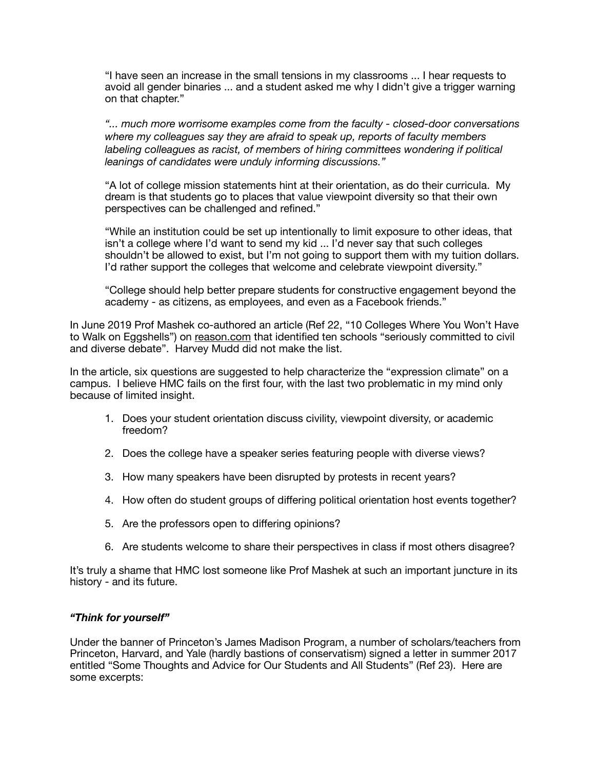"I have seen an increase in the small tensions in my classrooms ... I hear requests to avoid all gender binaries ... and a student asked me why I didn't give a trigger warning on that chapter."

*"... much more worrisome examples come from the faculty - closed-door conversations where my colleagues say they are afraid to speak up, reports of faculty members labeling colleagues as racist, of members of hiring committees wondering if political leanings of candidates were unduly informing discussions."* 

"A lot of college mission statements hint at their orientation, as do their curricula. My dream is that students go to places that value viewpoint diversity so that their own perspectives can be challenged and refined."

"While an institution could be set up intentionally to limit exposure to other ideas, that isn't a college where I'd want to send my kid ... I'd never say that such colleges shouldn't be allowed to exist, but I'm not going to support them with my tuition dollars. I'd rather support the colleges that welcome and celebrate viewpoint diversity."

"College should help better prepare students for constructive engagement beyond the academy - as citizens, as employees, and even as a Facebook friends."

In June 2019 Prof Mashek co-authored an article (Ref 22, "10 Colleges Where You Won't Have to Walk on Eggshells") on [reason.com](http://reason.com) that identified ten schools "seriously committed to civil and diverse debate". Harvey Mudd did not make the list.

In the article, six questions are suggested to help characterize the "expression climate" on a campus. I believe HMC fails on the first four, with the last two problematic in my mind only because of limited insight.

- 1. Does your student orientation discuss civility, viewpoint diversity, or academic freedom?
- 2. Does the college have a speaker series featuring people with diverse views?
- 3. How many speakers have been disrupted by protests in recent years?
- 4. How often do student groups of differing political orientation host events together?
- 5. Are the professors open to differing opinions?
- 6. Are students welcome to share their perspectives in class if most others disagree?

It's truly a shame that HMC lost someone like Prof Mashek at such an important juncture in its history - and its future.

### *"Think for yourself"*

Under the banner of Princeton's James Madison Program, a number of scholars/teachers from Princeton, Harvard, and Yale (hardly bastions of conservatism) signed a letter in summer 2017 entitled "Some Thoughts and Advice for Our Students and All Students" (Ref 23). Here are some excerpts: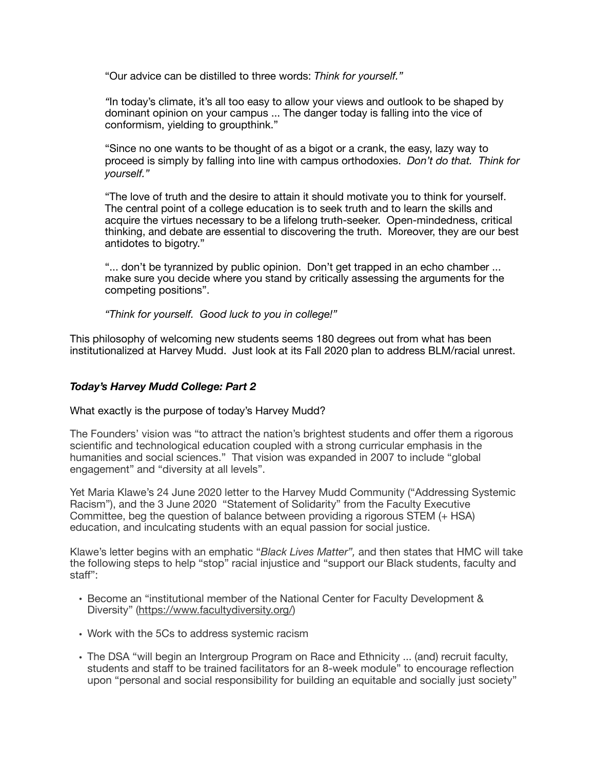"Our advice can be distilled to three words: *Think for yourself."* 

*"*In today's climate, it's all too easy to allow your views and outlook to be shaped by dominant opinion on your campus ... The danger today is falling into the vice of conformism, yielding to groupthink."

"Since no one wants to be thought of as a bigot or a crank, the easy, lazy way to proceed is simply by falling into line with campus orthodoxies. *Don't do that. Think for yourself."* 

"The love of truth and the desire to attain it should motivate you to think for yourself. The central point of a college education is to seek truth and to learn the skills and acquire the virtues necessary to be a lifelong truth-seeker. Open-mindedness, critical thinking, and debate are essential to discovering the truth. Moreover, they are our best antidotes to bigotry."

"... don't be tyrannized by public opinion. Don't get trapped in an echo chamber ... make sure you decide where you stand by critically assessing the arguments for the competing positions".

*"Think for yourself. Good luck to you in college!"* 

This philosophy of welcoming new students seems 180 degrees out from what has been institutionalized at Harvey Mudd. Just look at its Fall 2020 plan to address BLM/racial unrest.

## *Today's Harvey Mudd College: Part 2*

#### What exactly is the purpose of today's Harvey Mudd?

The Founders' vision was "to attract the nation's brightest students and offer them a rigorous scientific and technological education coupled with a strong curricular emphasis in the humanities and social sciences." That vision was expanded in 2007 to include "global engagement" and "diversity at all levels".

Yet Maria Klawe's 24 June 2020 letter to the Harvey Mudd Community ("Addressing Systemic Racism"), and the 3 June 2020 "Statement of Solidarity" from the Faculty Executive Committee, beg the question of balance between providing a rigorous STEM (+ HSA) education, and inculcating students with an equal passion for social justice.

Klawe's letter begins with an emphatic "*Black Lives Matter",* and then states that HMC will take the following steps to help "stop" racial injustice and "support our Black students, faculty and staff":

- Become an "institutional member of the National Center for Faculty Development & Diversity" (<https://www.facultydiversity.org/>)
- Work with the 5Cs to address systemic racism
- The DSA "will begin an Intergroup Program on Race and Ethnicity ... (and) recruit faculty, students and staff to be trained facilitators for an 8-week module" to encourage reflection upon "personal and social responsibility for building an equitable and socially just society"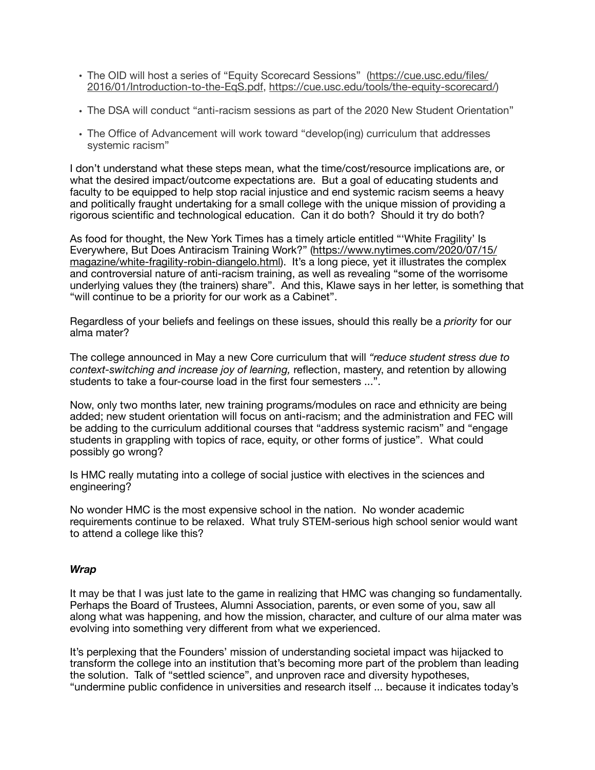- The OID will host a series of "Equity Scorecard Sessions" [\(https://cue.usc.edu/files/](https://cue.usc.edu/files/2016/01/Introduction-to-the-EqS.pdf) [2016/01/Introduction-to-the-EqS.pdf,](https://cue.usc.edu/files/2016/01/Introduction-to-the-EqS.pdf) [https://cue.usc.edu/tools/the-equity-scorecard/\)](https://cue.usc.edu/tools/the-equity-scorecard/)
- The DSA will conduct "anti-racism sessions as part of the 2020 New Student Orientation"
- The Office of Advancement will work toward "develop(ing) curriculum that addresses systemic racism"

I don't understand what these steps mean, what the time/cost/resource implications are, or what the desired impact/outcome expectations are. But a goal of educating students and faculty to be equipped to help stop racial injustice and end systemic racism seems a heavy and politically fraught undertaking for a small college with the unique mission of providing a rigorous scientific and technological education. Can it do both? Should it try do both?

As food for thought, the New York Times has a timely article entitled "'White Fragility' Is Everywhere, But Does Antiracism Training Work?" [\(https://www.nytimes.com/2020/07/15/](https://www.nytimes.com/2020/07/15/magazine/white-fragility-robin-diangelo.html) [magazine/white-fragility-robin-diangelo.html\)](https://www.nytimes.com/2020/07/15/magazine/white-fragility-robin-diangelo.html). It's a long piece, yet it illustrates the complex and controversial nature of anti-racism training, as well as revealing "some of the worrisome underlying values they (the trainers) share". And this, Klawe says in her letter, is something that "will continue to be a priority for our work as a Cabinet".

Regardless of your beliefs and feelings on these issues, should this really be a *priority* for our alma mater?

The college announced in May a new Core curriculum that will *"reduce student stress due to context-switching and increase joy of learning,* reflection, mastery, and retention by allowing students to take a four-course load in the first four semesters ...".

Now, only two months later, new training programs/modules on race and ethnicity are being added; new student orientation will focus on anti-racism; and the administration and FEC will be adding to the curriculum additional courses that "address systemic racism" and "engage students in grappling with topics of race, equity, or other forms of justice". What could possibly go wrong?

Is HMC really mutating into a college of social justice with electives in the sciences and engineering?

No wonder HMC is the most expensive school in the nation. No wonder academic requirements continue to be relaxed. What truly STEM-serious high school senior would want to attend a college like this?

### *Wrap*

It may be that I was just late to the game in realizing that HMC was changing so fundamentally. Perhaps the Board of Trustees, Alumni Association, parents, or even some of you, saw all along what was happening, and how the mission, character, and culture of our alma mater was evolving into something very different from what we experienced.

It's perplexing that the Founders' mission of understanding societal impact was hijacked to transform the college into an institution that's becoming more part of the problem than leading the solution. Talk of "settled science", and unproven race and diversity hypotheses, "undermine public confidence in universities and research itself ... because it indicates today's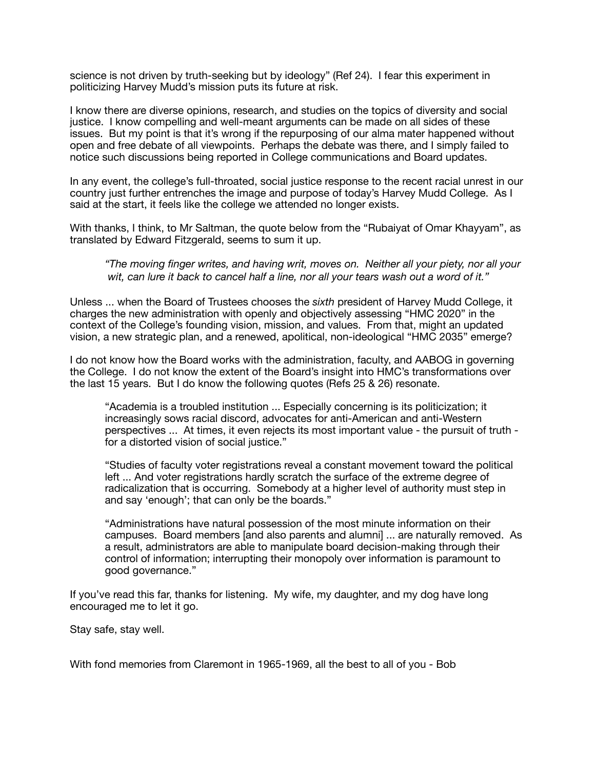science is not driven by truth-seeking but by ideology" (Ref 24). I fear this experiment in politicizing Harvey Mudd's mission puts its future at risk.

I know there are diverse opinions, research, and studies on the topics of diversity and social justice. I know compelling and well-meant arguments can be made on all sides of these issues. But my point is that it's wrong if the repurposing of our alma mater happened without open and free debate of all viewpoints. Perhaps the debate was there, and I simply failed to notice such discussions being reported in College communications and Board updates.

In any event, the college's full-throated, social justice response to the recent racial unrest in our country just further entrenches the image and purpose of today's Harvey Mudd College. As I said at the start, it feels like the college we attended no longer exists.

With thanks, I think, to Mr Saltman, the quote below from the "Rubaiyat of Omar Khayyam", as translated by Edward Fitzgerald, seems to sum it up.

*"The moving finger writes, and having writ, moves on. Neither all your piety, nor all your wit, can lure it back to cancel half a line, nor all your tears wash out a word of it."* 

Unless ... when the Board of Trustees chooses the *sixth* president of Harvey Mudd College, it charges the new administration with openly and objectively assessing "HMC 2020" in the context of the College's founding vision, mission, and values. From that, might an updated vision, a new strategic plan, and a renewed, apolitical, non-ideological "HMC 2035" emerge?

I do not know how the Board works with the administration, faculty, and AABOG in governing the College. I do not know the extent of the Board's insight into HMC's transformations over the last 15 years. But I do know the following quotes (Refs 25 & 26) resonate.

"Academia is a troubled institution ... Especially concerning is its politicization; it increasingly sows racial discord, advocates for anti-American and anti-Western perspectives ... At times, it even rejects its most important value - the pursuit of truth for a distorted vision of social justice."

"Studies of faculty voter registrations reveal a constant movement toward the political left ... And voter registrations hardly scratch the surface of the extreme degree of radicalization that is occurring. Somebody at a higher level of authority must step in and say 'enough'; that can only be the boards."

"Administrations have natural possession of the most minute information on their campuses. Board members [and also parents and alumni] ... are naturally removed. As a result, administrators are able to manipulate board decision-making through their control of information; interrupting their monopoly over information is paramount to good governance."

If you've read this far, thanks for listening. My wife, my daughter, and my dog have long encouraged me to let it go.

Stay safe, stay well.

With fond memories from Claremont in 1965-1969, all the best to all of you - Bob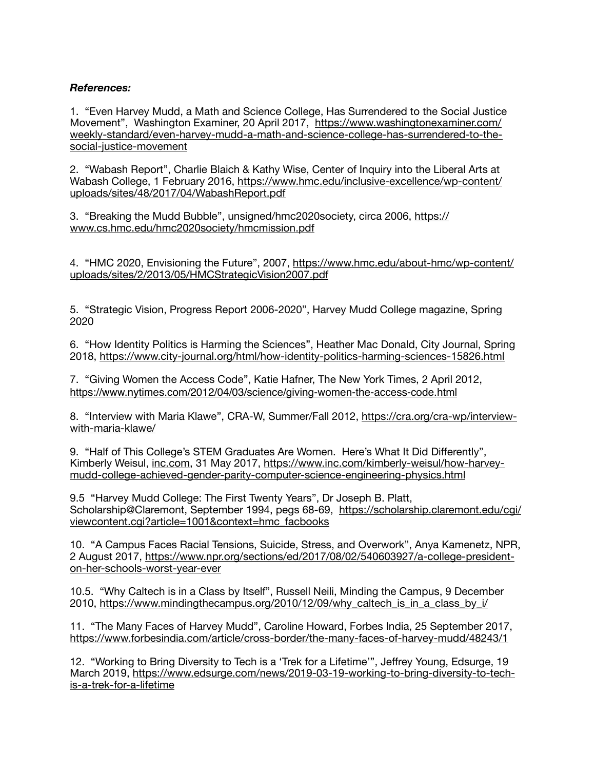# *References:*

1. "Even Harvey Mudd, a Math and Science College, Has Surrendered to the Social Justice Movement", Washington Examiner, 20 April 2017, [https://www.washingtonexaminer.com/](https://www.washingtonexaminer.com/weekly-standard/even-harvey-mudd-a-math-and-science-college-has-surrendered-to-the-social-justice-movement) [weekly-standard/even-harvey-mudd-a-math-and-science-college-has-surrendered-to-the](https://www.washingtonexaminer.com/weekly-standard/even-harvey-mudd-a-math-and-science-college-has-surrendered-to-the-social-justice-movement)[social-justice-movement](https://www.washingtonexaminer.com/weekly-standard/even-harvey-mudd-a-math-and-science-college-has-surrendered-to-the-social-justice-movement)

2. "Wabash Report", Charlie Blaich & Kathy Wise, Center of Inquiry into the Liberal Arts at [Wabash College, 1 February 2016, https://www.hmc.edu/inclusive-excellence/wp-content/](https://www.hmc.edu/inclusive-excellence/wp-content/uploads/sites/48/2017/04/WabashReport.pdf) [uploads/sites/48/2017/04/WabashReport.pdf](https://www.hmc.edu/inclusive-excellence/wp-content/uploads/sites/48/2017/04/WabashReport.pdf)

3. "Breaking the Mudd Bubble", unsigned/hmc2020society, circa 2006, [https://](https://www.cs.hmc.edu/hmc2020society/hmcmission.pdf) [www.cs.hmc.edu/hmc2020society/hmcmission.pdf](https://www.cs.hmc.edu/hmc2020society/hmcmission.pdf)

4. "HMC 2020, Envisioning the Future", 2007, [https://www.hmc.edu/about-hmc/wp-content/](https://www.hmc.edu/about-hmc/wp-content/uploads/sites/2/2013/05/HMCStrategicVision2007.pdf) [uploads/sites/2/2013/05/HMCStrategicVision2007.pdf](https://www.hmc.edu/about-hmc/wp-content/uploads/sites/2/2013/05/HMCStrategicVision2007.pdf)

5. "Strategic Vision, Progress Report 2006-2020", Harvey Mudd College magazine, Spring 2020

6. "How Identity Politics is Harming the Sciences", Heather Mac Donald, City Journal, Spring 2018, <https://www.city-journal.org/html/how-identity-politics-harming-sciences-15826.html>

7. "Giving Women the Access Code", Katie Hafner, The New York Times, 2 April 2012, <https://www.nytimes.com/2012/04/03/science/giving-women-the-access-code.html>

8. "Interview with Maria Klawe", CRA-W, Summer/Fall 2012, [https://cra.org/cra-wp/interview](https://cra.org/cra-wp/interview-with-maria-klawe/)[with-maria-klawe/](https://cra.org/cra-wp/interview-with-maria-klawe/)

9. "Half of This College's STEM Graduates Are Women. Here's What It Did Differently", Kimberly Weisul, [inc.com](http://inc.com), 31 May 2017, [https://www.inc.com/kimberly-weisul/how-harvey](https://www.inc.com/kimberly-weisul/how-harvey-mudd-college-achieved-gender-parity-computer-science-engineering-physics.html)[mudd-college-achieved-gender-parity-computer-science-engineering-physics.html](https://www.inc.com/kimberly-weisul/how-harvey-mudd-college-achieved-gender-parity-computer-science-engineering-physics.html)

9.5 "Harvey Mudd College: The First Twenty Years", Dr Joseph B. Platt, Scholarship@Claremont, September 1994, pegs 68-69, [https://scholarship.claremont.edu/cgi/](https://scholarship.claremont.edu/cgi/viewcontent.cgi?article=1001&context=hmc_facbooks) [viewcontent.cgi?article=1001&context=hmc\\_facbooks](https://scholarship.claremont.edu/cgi/viewcontent.cgi?article=1001&context=hmc_facbooks)

10. "A Campus Faces Racial Tensions, Suicide, Stress, and Overwork", Anya Kamenetz, NPR, [2 August 2017, https://www.npr.org/sections/ed/2017/08/02/540603927/a-college-president](https://www.npr.org/sections/ed/2017/08/02/540603927/a-college-president-on-her-schools-worst-year-ever)[on-her-schools-worst-year-ever](https://www.npr.org/sections/ed/2017/08/02/540603927/a-college-president-on-her-schools-worst-year-ever)

10.5. "Why Caltech is in a Class by Itself", Russell Neili, Minding the Campus, 9 December 2010, [https://www.mindingthecampus.org/2010/12/09/why\\_caltech\\_is\\_in\\_a\\_class\\_by\\_i/](https://www.mindingthecampus.org/2010/12/09/why_caltech_is_in_a_class_by_i/)

11. "The Many Faces of Harvey Mudd", Caroline Howard, Forbes India, 25 September 2017, <https://www.forbesindia.com/article/cross-border/the-many-faces-of-harvey-mudd/48243/1>

12. "Working to Bring Diversity to Tech is a 'Trek for a Lifetime'", Jeffrey Young, Edsurge, 19 [March 2019, https://www.edsurge.com/news/2019-03-19-working-to-bring-diversity-to-tech](https://www.edsurge.com/news/2019-03-19-working-to-bring-diversity-to-tech-is-a-trek-for-a-lifetime)[is-a-trek-for-a-lifetime](https://www.edsurge.com/news/2019-03-19-working-to-bring-diversity-to-tech-is-a-trek-for-a-lifetime)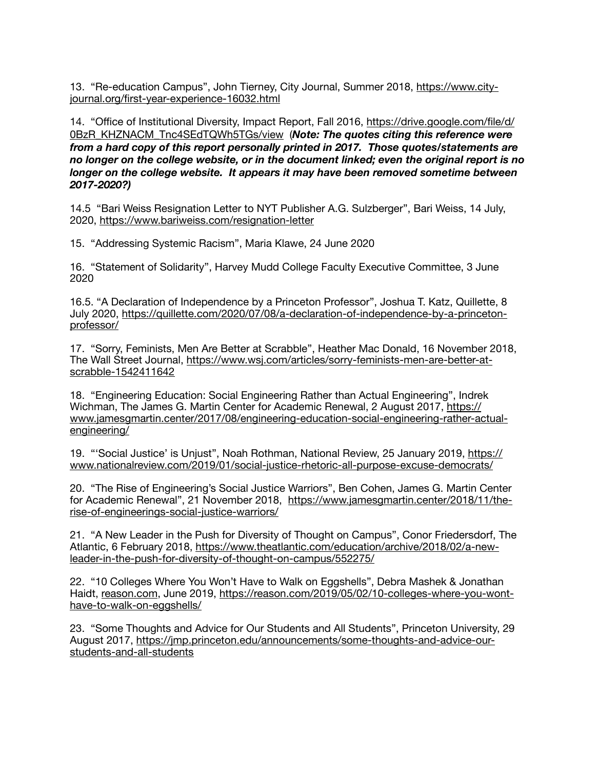13. "Re-education Campus", John Tierney, City Journal, Summer 2018, [https://www.city](https://www.city-journal.org/first-year-experience-16032.html)[journal.org/first-year-experience-16032.html](https://www.city-journal.org/first-year-experience-16032.html)

14. "Office of Institutional Diversity, Impact Report, Fall 2016, [https://drive.google.com/file/d/](https://drive.google.com/file/d/0BzR_KHZNACM_Tnc4SEdTQWh5TGs/view) [0BzR\\_KHZNACM\\_Tnc4SEdTQWh5TGs/view](https://drive.google.com/file/d/0BzR_KHZNACM_Tnc4SEdTQWh5TGs/view) (*Note: The quotes citing this reference were from a hard copy of this report personally printed in 2017. Those quotes/statements are no longer on the college website, or in the document linked; even the original report is no longer on the college website. It appears it may have been removed sometime between 2017-2020?)*

14.5 "Bari Weiss Resignation Letter to NYT Publisher A.G. Sulzberger", Bari Weiss, 14 July, 2020, <https://www.bariweiss.com/resignation-letter>

15. "Addressing Systemic Racism", Maria Klawe, 24 June 2020

16. "Statement of Solidarity", Harvey Mudd College Faculty Executive Committee, 3 June 2020

16.5. "A Declaration of Independence by a Princeton Professor", Joshua T. Katz, Quillette, 8 July 2020, [https://quillette.com/2020/07/08/a-declaration-of-independence-by-a-princeton](https://quillette.com/2020/07/08/a-declaration-of-independence-by-a-princeton-professor/)[professor/](https://quillette.com/2020/07/08/a-declaration-of-independence-by-a-princeton-professor/)

17. "Sorry, Feminists, Men Are Better at Scrabble", Heather Mac Donald, 16 November 2018, The Wall Street Journal, [https://www.wsj.com/articles/sorry-feminists-men-are-better-at](https://www.wsj.com/articles/sorry-feminists-men-are-better-at-scrabble-1542411642)[scrabble-1542411642](https://www.wsj.com/articles/sorry-feminists-men-are-better-at-scrabble-1542411642)

18. "Engineering Education: Social Engineering Rather than Actual Engineering", Indrek Wichman, The James G. Martin Center for Academic Renewal, 2 August 2017, [https://](https://www.jamesgmartin.center/2017/08/engineering-education-social-engineering-rather-actual-engineering/) [www.jamesgmartin.center/2017/08/engineering-education-social-engineering-rather-actual](https://www.jamesgmartin.center/2017/08/engineering-education-social-engineering-rather-actual-engineering/)[engineering/](https://www.jamesgmartin.center/2017/08/engineering-education-social-engineering-rather-actual-engineering/)

19. "'Social Justice' is Unjust", Noah Rothman, National Review, 25 January 2019, [https://](https://www.nationalreview.com/2019/01/social-justice-rhetoric-all-purpose-excuse-democrats/) [www.nationalreview.com/2019/01/social-justice-rhetoric-all-purpose-excuse-democrats/](https://www.nationalreview.com/2019/01/social-justice-rhetoric-all-purpose-excuse-democrats/)

20. "The Rise of Engineering's Social Justice Warriors", Ben Cohen, James G. Martin Center for Academic Renewal", 21 November 2018, [https://www.jamesgmartin.center/2018/11/the](https://www.jamesgmartin.center/2018/11/the-rise-of-engineerings-social-justice-warriors/)[rise-of-engineerings-social-justice-warriors/](https://www.jamesgmartin.center/2018/11/the-rise-of-engineerings-social-justice-warriors/)

21. "A New Leader in the Push for Diversity of Thought on Campus", Conor Friedersdorf, The Atlantic, 6 February 2018, [https://www.theatlantic.com/education/archive/2018/02/a-new](https://www.theatlantic.com/education/archive/2018/02/a-new-leader-in-the-push-for-diversity-of-thought-on-campus/552275/)[leader-in-the-push-for-diversity-of-thought-on-campus/552275/](https://www.theatlantic.com/education/archive/2018/02/a-new-leader-in-the-push-for-diversity-of-thought-on-campus/552275/)

22. "10 Colleges Where You Won't Have to Walk on Eggshells", Debra Mashek & Jonathan Haidt, [reason.com](http://reason.com), June 2019, [https://reason.com/2019/05/02/10-colleges-where-you-wont](https://reason.com/2019/05/02/10-colleges-where-you-wont-have-to-walk-on-eggshells/)[have-to-walk-on-eggshells/](https://reason.com/2019/05/02/10-colleges-where-you-wont-have-to-walk-on-eggshells/)

23. "Some Thoughts and Advice for Our Students and All Students", Princeton University, 29 [August 2017, https://jmp.princeton.edu/announcements/some-thoughts-and-advice-our](https://jmp.princeton.edu/announcements/some-thoughts-and-advice-our-students-and-all-students)[students-and-all-students](https://jmp.princeton.edu/announcements/some-thoughts-and-advice-our-students-and-all-students)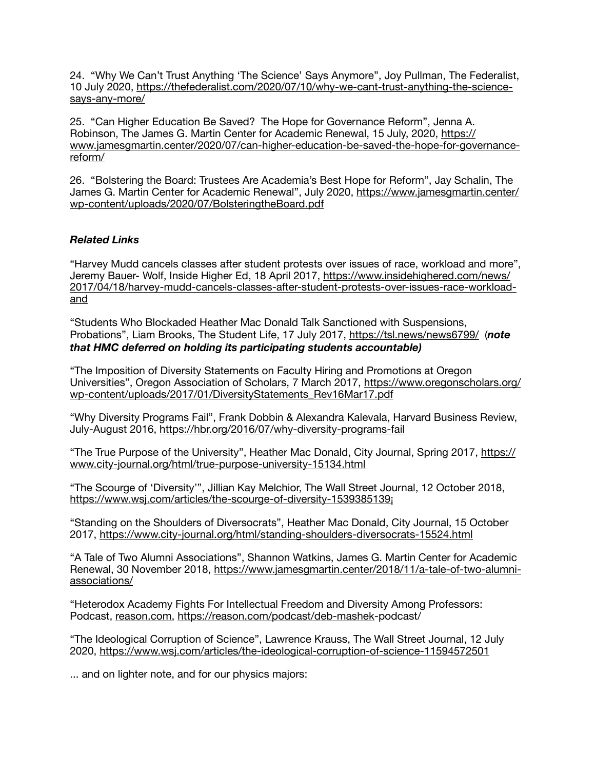24. "Why We Can't Trust Anything 'The Science' Says Anymore", Joy Pullman, The Federalist, [10 July 2020, https://thefederalist.com/2020/07/10/why-we-cant-trust-anything-the-science](https://thefederalist.com/2020/07/10/why-we-cant-trust-anything-the-science-says-any-more/)[says-any-more/](https://thefederalist.com/2020/07/10/why-we-cant-trust-anything-the-science-says-any-more/)

25. "Can Higher Education Be Saved? The Hope for Governance Reform", Jenna A. Robinson, The James G. Martin Center for Academic Renewal, 15 July, 2020, [https://](https://www.jamesgmartin.center/2020/07/can-higher-education-be-saved-the-hope-for-governance-reform/) [www.jamesgmartin.center/2020/07/can-higher-education-be-saved-the-hope-for-governance](https://www.jamesgmartin.center/2020/07/can-higher-education-be-saved-the-hope-for-governance-reform/)[reform/](https://www.jamesgmartin.center/2020/07/can-higher-education-be-saved-the-hope-for-governance-reform/)

26. "Bolstering the Board: Trustees Are Academia's Best Hope for Reform", Jay Schalin, The James G. Martin Center for Academic Renewal", July 2020, [https://www.jamesgmartin.center/](https://www.jamesgmartin.center/wp-content/uploads/2020/07/BolsteringtheBoard.pdf) [wp-content/uploads/2020/07/BolsteringtheBoard.pdf](https://www.jamesgmartin.center/wp-content/uploads/2020/07/BolsteringtheBoard.pdf)

# *Related Links*

"Harvey Mudd cancels classes after student protests over issues of race, workload and more", Jeremy Bauer- Wolf, Inside Higher Ed, 18 April 2017, [https://www.insidehighered.com/news/](https://www.insidehighered.com/news/2017/04/18/harvey-mudd-cancels-classes-after-student-protests-over-issues-race-workload-and) [2017/04/18/harvey-mudd-cancels-classes-after-student-protests-over-issues-race-workload](https://www.insidehighered.com/news/2017/04/18/harvey-mudd-cancels-classes-after-student-protests-over-issues-race-workload-and)[and](https://www.insidehighered.com/news/2017/04/18/harvey-mudd-cancels-classes-after-student-protests-over-issues-race-workload-and)

"Students Who Blockaded Heather Mac Donald Talk Sanctioned with Suspensions, Probations", Liam Brooks, The Student Life, 17 July 2017, <https://tsl.news/news6799/>(*note that HMC deferred on holding its participating students accountable)* 

"The Imposition of Diversity Statements on Faculty Hiring and Promotions at Oregon Universities", Oregon Association of Scholars, 7 March 2017, [https://www.oregonscholars.org/](https://www.oregonscholars.org/wp-content/uploads/2017/01/DiversityStatements_Rev16Mar17.pdf) [wp-content/uploads/2017/01/DiversityStatements\\_Rev16Mar17.pdf](https://www.oregonscholars.org/wp-content/uploads/2017/01/DiversityStatements_Rev16Mar17.pdf)

"Why Diversity Programs Fail", Frank Dobbin & Alexandra Kalevala, Harvard Business Review, July-August 2016,<https://hbr.org/2016/07/why-diversity-programs-fail>

"The True Purpose of the University", Heather Mac Donald, City Journal, Spring 2017, [https://](https://www.city-journal.org/html/true-purpose-university-15134.html) [www.city-journal.org/html/true-purpose-university-15134.html](https://www.city-journal.org/html/true-purpose-university-15134.html)

"The Scourge of 'Diversity'", Jillian Kay Melchior, The Wall Street Journal, 12 October 2018, <https://www.wsj.com/articles/the-scourge-of-diversity-1539385139>¡

"Standing on the Shoulders of Diversocrats", Heather Mac Donald, City Journal, 15 October 2017, <https://www.city-journal.org/html/standing-shoulders-diversocrats-15524.html>

"A Tale of Two Alumni Associations", Shannon Watkins, James G. Martin Center for Academic Renewal, 30 November 2018, [https://www.jamesgmartin.center/2018/11/a-tale-of-two-alumni](https://www.jamesgmartin.center/2018/11/a-tale-of-two-alumni-associations/)[associations/](https://www.jamesgmartin.center/2018/11/a-tale-of-two-alumni-associations/)

"Heterodox Academy Fights For Intellectual Freedom and Diversity Among Professors: Podcast, [reason.com,](http://reason.com) <https://reason.com/podcast/deb-mashek>-podcast/

"The Ideological Corruption of Science", Lawrence Krauss, The Wall Street Journal, 12 July 2020, <https://www.wsj.com/articles/the-ideological-corruption-of-science-11594572501>

... and on lighter note, and for our physics majors: